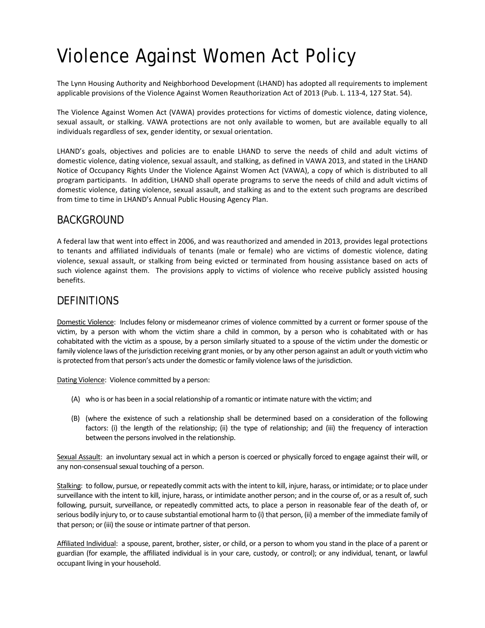# Violence Against Women Act Policy

The Lynn Housing Authority and Neighborhood Development (LHAND) has adopted all requirements to implement applicable provisions of the Violence Against Women Reauthorization Act of 2013 (Pub. L. 113-4, 127 Stat. 54).

The Violence Against Women Act (VAWA) provides protections for victims of domestic violence, dating violence, sexual assault, or stalking. VAWA protections are not only available to women, but are available equally to all individuals regardless of sex, gender identity, or sexual orientation.

LHAND's goals, objectives and policies are to enable LHAND to serve the needs of child and adult victims of domestic violence, dating violence, sexual assault, and stalking, as defined in VAWA 2013, and stated in the LHAND Notice of Occupancy Rights Under the Violence Against Women Act (VAWA), a copy of which is distributed to all program participants. In addition, LHAND shall operate programs to serve the needs of child and adult victims of domestic violence, dating violence, sexual assault, and stalking as and to the extent such programs are described from time to time in LHAND's Annual Public Housing Agency Plan.

#### BACKGROUND

A federal law that went into effect in 2006, and was reauthorized and amended in 2013, provides legal protections to tenants and affiliated individuals of tenants (male or female) who are victims of domestic violence, dating violence, sexual assault, or stalking from being evicted or terminated from housing assistance based on acts of such violence against them. The provisions apply to victims of violence who receive publicly assisted housing benefits.

#### **DEFINITIONS**

Domestic Violence: Includes felony or misdemeanor crimes of violence committed by a current or former spouse of the victim, by a person with whom the victim share a child in common, by a person who is cohabitated with or has cohabitated with the victim as a spouse, by a person similarly situated to a spouse of the victim under the domestic or family violence laws of the jurisdiction receiving grant monies, or by any other person against an adult or youth victim who is protected from that person's acts under the domestic or family violence laws of the jurisdiction.

Dating Violence: Violence committed by a person:

- (A) who is or has been in a social relationship of a romantic or intimate nature with the victim; and
- (B) (where the existence of such a relationship shall be determined based on a consideration of the following factors: (i) the length of the relationship; (ii) the type of relationship; and (iii) the frequency of interaction between the persons involved in the relationship.

Sexual Assault: an involuntary sexual act in which a person is coerced or physically forced to engage against their will, or any non-consensual sexual touching of a person.

Stalking: to follow, pursue, or repeatedly commit acts with the intent to kill, injure, harass, or intimidate; or to place under surveillance with the intent to kill, injure, harass, or intimidate another person; and in the course of, or as a result of, such following, pursuit, surveillance, or repeatedly committed acts, to place a person in reasonable fear of the death of, or serious bodily injury to, or to cause substantial emotional harm to (i) that person, (ii) a member of the immediate family of that person; or (iii) the souse or intimate partner of that person.

Affiliated Individual: a spouse, parent, brother, sister, or child, or a person to whom you stand in the place of a parent or guardian (for example, the affiliated individual is in your care, custody, or control); or any individual, tenant, or lawful occupant living in your household.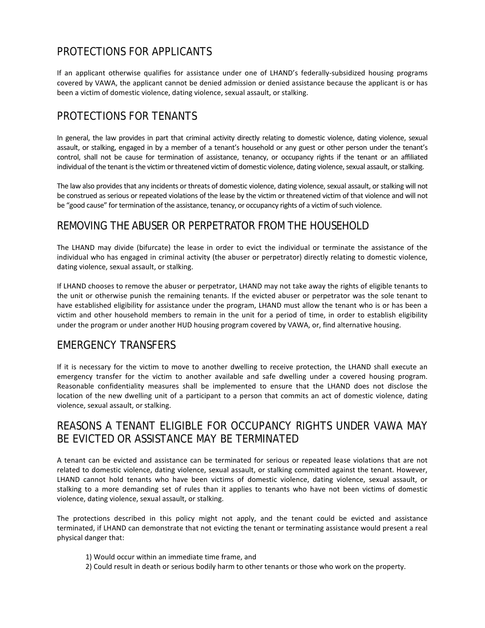## PROTECTIONS FOR APPLICANTS

If an applicant otherwise qualifies for assistance under one of LHAND's federally-subsidized housing programs covered by VAWA, the applicant cannot be denied admission or denied assistance because the applicant is or has been a victim of domestic violence, dating violence, sexual assault, or stalking.

## PROTECTIONS FOR TENANTS

In general, the law provides in part that criminal activity directly relating to domestic violence, dating violence, sexual assault, or stalking, engaged in by a member of a tenant's household or any guest or other person under the tenant's control, shall not be cause for termination of assistance, tenancy, or occupancy rights if the tenant or an affiliated individual of the tenant is the victim or threatened victim of domestic violence, dating violence, sexual assault, or stalking.

The law also provides that any incidents or threats of domestic violence, dating violence, sexual assault, or stalking will not be construed as serious or repeated violations of the lease by the victim or threatened victim of that violence and will not be "good cause" for termination of the assistance, tenancy, or occupancy rights of a victim of such violence.

## REMOVING THE ABUSER OR PERPETRATOR FROM THE HOUSEHOLD

The LHAND may divide (bifurcate) the lease in order to evict the individual or terminate the assistance of the individual who has engaged in criminal activity (the abuser or perpetrator) directly relating to domestic violence, dating violence, sexual assault, or stalking.

If LHAND chooses to remove the abuser or perpetrator, LHAND may not take away the rights of eligible tenants to the unit or otherwise punish the remaining tenants. If the evicted abuser or perpetrator was the sole tenant to have established eligibility for assistance under the program, LHAND must allow the tenant who is or has been a victim and other household members to remain in the unit for a period of time, in order to establish eligibility under the program or under another HUD housing program covered by VAWA, or, find alternative housing.

## EMERGENCY TRANSFERS

If it is necessary for the victim to move to another dwelling to receive protection, the LHAND shall execute an emergency transfer for the victim to another available and safe dwelling under a covered housing program. Reasonable confidentiality measures shall be implemented to ensure that the LHAND does not disclose the location of the new dwelling unit of a participant to a person that commits an act of domestic violence, dating violence, sexual assault, or stalking.

#### REASONS A TENANT ELIGIBLE FOR OCCUPANCY RIGHTS UNDER VAWA MAY BE EVICTED OR ASSISTANCE MAY BE TERMINATED

A tenant can be evicted and assistance can be terminated for serious or repeated lease violations that are not related to domestic violence, dating violence, sexual assault, or stalking committed against the tenant. However, LHAND cannot hold tenants who have been victims of domestic violence, dating violence, sexual assault, or stalking to a more demanding set of rules than it applies to tenants who have not been victims of domestic violence, dating violence, sexual assault, or stalking.

The protections described in this policy might not apply, and the tenant could be evicted and assistance terminated, if LHAND can demonstrate that not evicting the tenant or terminating assistance would present a real physical danger that:

- 1) Would occur within an immediate time frame, and
- 2) Could result in death or serious bodily harm to other tenants or those who work on the property.